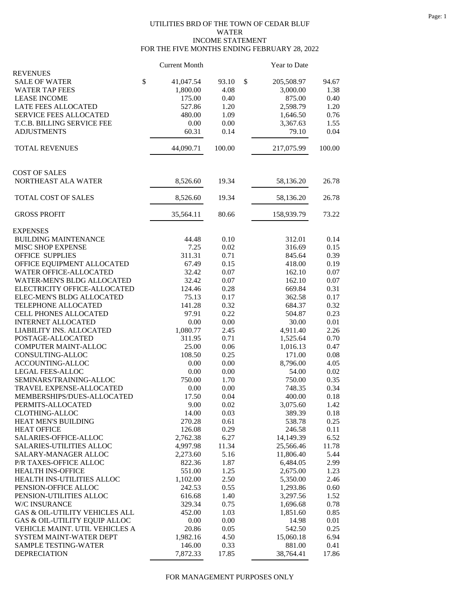## UTILITIES BRD OF THE TOWN OF CEDAR BLUF WATER INCOME STATEMENT FOR THE FIVE MONTHS ENDING FEBRUARY 28, 2022

|                                               | <b>Current Month</b> |        | <b>Year to Date</b> |          |
|-----------------------------------------------|----------------------|--------|---------------------|----------|
| <b>REVENUES</b><br>\$<br><b>SALE OF WATER</b> | 41,047.54            | 93.10  | \$<br>205,508.97    | 94.67    |
| <b>WATER TAP FEES</b>                         | 1,800.00             | 4.08   | 3,000.00            | 1.38     |
| <b>LEASE INCOME</b>                           | 175.00               | 0.40   | 875.00              | 0.40     |
| <b>LATE FEES ALLOCATED</b>                    | 527.86               | 1.20   | 2,598.79            | 1.20     |
| <b>SERVICE FEES ALLOCATED</b>                 | 480.00               | 1.09   | 1,646.50            | 0.76     |
| T.C.B. BILLING SERVICE FEE                    | 0.00                 | 0.00   | 3,367.63            | 1.55     |
| <b>ADJUSTMENTS</b>                            | 60.31                | 0.14   | 79.10               | 0.04     |
| <b>TOTAL REVENUES</b>                         | 44,090.71            | 100.00 | 217,075.99          | 100.00   |
|                                               |                      |        |                     |          |
| <b>COST OF SALES</b>                          |                      |        |                     |          |
| NORTHEAST ALA WATER                           | 8,526.60             | 19.34  | 58,136.20           | 26.78    |
| TOTAL COST OF SALES                           | 8,526.60             | 19.34  | 58,136.20           | 26.78    |
| <b>GROSS PROFIT</b>                           | 35,564.11            | 80.66  | 158,939.79          | 73.22    |
| <b>EXPENSES</b>                               |                      |        |                     |          |
| <b>BUILDING MAINTENANCE</b>                   | 44.48                | 0.10   | 312.01              | 0.14     |
| <b>MISC SHOP EXPENSE</b>                      | 7.25                 | 0.02   | 316.69              | 0.15     |
| <b>OFFICE SUPPLIES</b>                        | 311.31               | 0.71   | 845.64              | 0.39     |
| OFFICE EQUIPMENT ALLOCATED                    | 67.49                | 0.15   | 418.00              | 0.19     |
| <b>WATER OFFICE-ALLOCATED</b>                 | 32.42                | 0.07   | 162.10              | 0.07     |
| WATER-MEN'S BLDG ALLOCATED                    | 32.42                | 0.07   | 162.10              | 0.07     |
| ELECTRICITY OFFICE-ALLOCATED                  | 124.46               | 0.28   | 669.84              | 0.31     |
| ELEC-MEN'S BLDG ALLOCATED                     | 75.13                | 0.17   | 362.58              | 0.17     |
| TELEPHONE ALLOCATED                           | 141.28               | 0.32   | 684.37              | 0.32     |
| CELL PHONES ALLOCATED                         | 97.91                | 0.22   | 504.87              | 0.23     |
| <b>INTERNET ALLOCATED</b>                     | 0.00                 | 0.00   | 30.00               | 0.01     |
| LIABILITY INS. ALLOCATED                      | 1,080.77             | 2.45   | 4,911.40            | 2.26     |
| POSTAGE-ALLOCATED                             | 311.95               | 0.71   | 1,525.64            | 0.70     |
| COMPUTER MAINT-ALLOC                          | 25.00                | 0.06   | 1,016.13            | 0.47     |
| CONSULTING-ALLOC                              | 108.50               | 0.25   | 171.00              | 0.08     |
| <b>ACCOUNTING-ALLOC</b>                       | 0.00                 | 0.00   | 8,796.00            | 4.05     |
| <b>LEGAL FEES-ALLOC</b>                       | 0.00                 | 0.00   | 54.00               | 0.02     |
| SEMINARS/TRAINING-ALLOC                       | 750.00               | 1.70   | 750.00              | 0.35     |
| TRAVEL EXPENSE-ALLOCATED                      | 0.00                 | 0.00   | 748.35              | 0.34     |
| MEMBERSHIPS/DUES-ALLOCATED                    | 17.50                | 0.04   | 400.00              | $0.18\,$ |
| PERMITS-ALLOCATED                             | 9.00                 | 0.02   | 3,075.60            | 1.42     |
| <b>CLOTHING-ALLOC</b>                         | 14.00                | 0.03   | 389.39              | 0.18     |
| HEAT MEN'S BUILDING                           | 270.28               | 0.61   | 538.78              | 0.25     |
| <b>HEAT OFFICE</b>                            | 126.08               | 0.29   | 246.58              | 0.11     |
| SALARIES-OFFICE-ALLOC                         | 2,762.38             | 6.27   | 14,149.39           | 6.52     |
| SALARIES-UTILITIES ALLOC                      | 4,997.98             | 11.34  | 25,566.46           | 11.78    |
| SALARY-MANAGER ALLOC                          | 2,273.60             | 5.16   | 11,806.40           | 5.44     |
| P/R TAXES-OFFICE ALLOC                        | 822.36               | 1.87   | 6,484.05            | 2.99     |
| <b>HEALTH INS-OFFICE</b>                      | 551.00               | 1.25   | 2,675.00            | 1.23     |
| HEALTH INS-UTILITIES ALLOC                    | 1,102.00             | 2.50   | 5,350.00            | 2.46     |
| PENSION-OFFICE ALLOC                          | 242.53               | 0.55   | 1,293.86            | 0.60     |
| PENSION-UTILITIES ALLOC                       | 616.68               | 1.40   | 3,297.56            | 1.52     |
| W/C INSURANCE                                 | 329.34               | 0.75   | 1,696.68            | 0.78     |
| GAS & OIL-UTILITY VEHICLES ALL                | 452.00               | 1.03   | 1,851.60            | 0.85     |
| GAS & OIL-UTILITY EQUIP ALLOC                 | 0.00                 | 0.00   | 14.98               | 0.01     |
| VEHICLE MAINT. UTIL VEHICLES A                | 20.86                | 0.05   | 542.50              | 0.25     |
| SYSTEM MAINT-WATER DEPT                       | 1,982.16             | 4.50   | 15,060.18           | 6.94     |
| <b>SAMPLE TESTING-WATER</b>                   | 146.00               | 0.33   | 881.00              | 0.41     |
| <b>DEPRECIATION</b>                           | 7,872.33             | 17.85  | 38,764.41           | 17.86    |